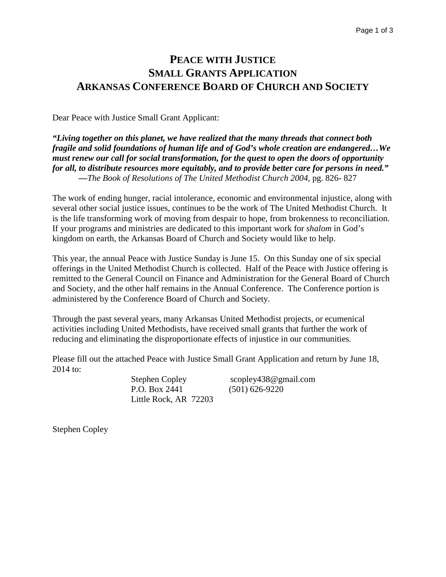## **PEACE WITH JUSTICE SMALL GRANTS APPLICATION ARKANSAS CONFERENCE BOARD OF CHURCH AND SOCIETY**

Dear Peace with Justice Small Grant Applicant:

*"Living together on this planet, we have realized that the many threads that connect both fragile and solid foundations of human life and of God's whole creation are endangered…We must renew our call for social transformation, for the quest to open the doors of opportunity for all, to distribute resources more equitably, and to provide better care for persons in need."* **—***The Book of Resolutions of The United Methodist Church 2004*, pg. 826- 827

The work of ending hunger, racial intolerance, economic and environmental injustice, along with several other social justice issues, continues to be the work of The United Methodist Church. It is the life transforming work of moving from despair to hope, from brokenness to reconciliation. If your programs and ministries are dedicated to this important work for *shalom* in God's kingdom on earth, the Arkansas Board of Church and Society would like to help.

This year, the annual Peace with Justice Sunday is June 15. On this Sunday one of six special offerings in the United Methodist Church is collected. Half of the Peace with Justice offering is remitted to the General Council on Finance and Administration for the General Board of Church and Society, and the other half remains in the Annual Conference. The Conference portion is administered by the Conference Board of Church and Society.

Through the past several years, many Arkansas United Methodist projects, or ecumenical activities including United Methodists, have received small grants that further the work of reducing and eliminating the disproportionate effects of injustice in our communities.

Please fill out the attached Peace with Justice Small Grant Application and return by June 18, 2014 to:

> P.O. Box 2441 (501) 626-9220 Little Rock, AR 72203

Stephen Copley scopley438@gmail.com

Stephen Copley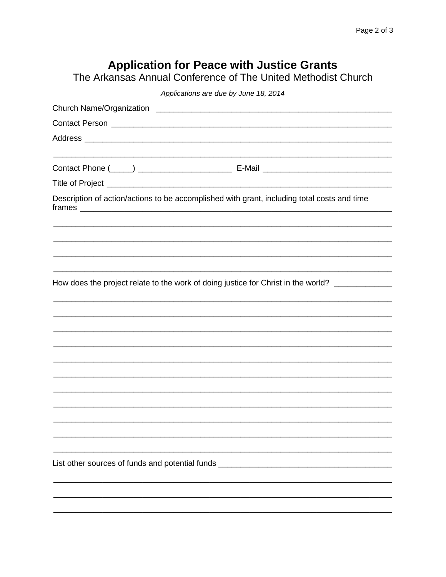## Application for Peace with Justice Grants<br>The Arkansas Annual Conference of The United Methodist Church

| Applications are due by June 18, 2014                                                       |  |  |
|---------------------------------------------------------------------------------------------|--|--|
|                                                                                             |  |  |
|                                                                                             |  |  |
|                                                                                             |  |  |
|                                                                                             |  |  |
|                                                                                             |  |  |
| Description of action/actions to be accomplished with grant, including total costs and time |  |  |
|                                                                                             |  |  |
| How does the project relate to the work of doing justice for Christ in the world?           |  |  |
|                                                                                             |  |  |
|                                                                                             |  |  |
|                                                                                             |  |  |
|                                                                                             |  |  |
|                                                                                             |  |  |
|                                                                                             |  |  |
|                                                                                             |  |  |
|                                                                                             |  |  |
|                                                                                             |  |  |
|                                                                                             |  |  |
| List other sources of funds and potential funds _                                           |  |  |
|                                                                                             |  |  |
|                                                                                             |  |  |
|                                                                                             |  |  |